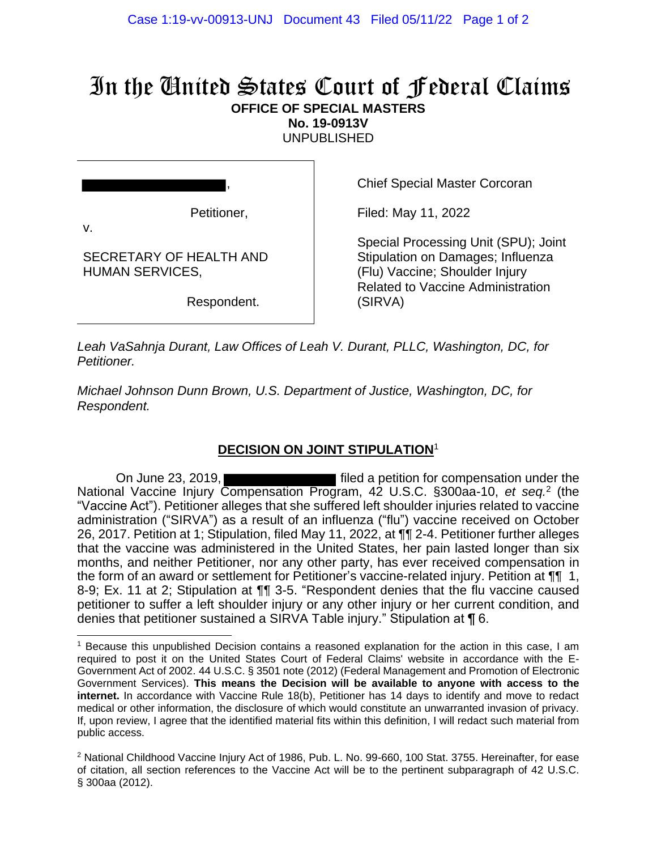## In the United States Court of Federal Claims **OFFICE OF SPECIAL MASTERS**

**No. 19-0913V**

UNPUBLISHED

,

Chief Special Master Corcoran

Filed: May 11, 2022

Special Processing Unit (SPU); Joint Stipulation on Damages; Influenza (Flu) Vaccine; Shoulder Injury Related to Vaccine Administration (SIRVA)

Respondent.

SECRETARY OF HEALTH AND

HUMAN SERVICES,

v.

*Leah VaSahnja Durant, Law Offices of Leah V. Durant, PLLC, Washington, DC, for Petitioner.*

*Michael Johnson Dunn Brown, U.S. Department of Justice, Washington, DC, for Respondent.*

## **DECISION ON JOINT STIPULATION**<sup>1</sup>

On June 23, 2019, **Filted a petition for compensation under the** National Vaccine Injury Compensation Program, 42 U.S.C. §300aa-10, et seq.<sup>2</sup> (the "Vaccine Act"). Petitioner alleges that she suffered left shoulder injuries related to vaccine administration ("SIRVA") as a result of an influenza ("flu") vaccine received on October 26, 2017. Petition at 1; Stipulation, filed May 11, 2022, at ¶¶ 2-4. Petitioner further alleges that the vaccine was administered in the United States, her pain lasted longer than six months, and neither Petitioner, nor any other party, has ever received compensation in the form of an award or settlement for Petitioner's vaccine-related injury. Petition at ¶¶ 1, 8-9; Ex. 11 at 2; Stipulation at ¶¶ 3-5. "Respondent denies that the flu vaccine caused petitioner to suffer a left shoulder injury or any other injury or her current condition, and denies that petitioner sustained a SIRVA Table injury." Stipulation at ¶ 6.

<sup>1</sup> Because this unpublished Decision contains a reasoned explanation for the action in this case, I am required to post it on the United States Court of Federal Claims' website in accordance with the E-Government Act of 2002. 44 U.S.C. § 3501 note (2012) (Federal Management and Promotion of Electronic Government Services). **This means the Decision will be available to anyone with access to the internet.** In accordance with Vaccine Rule 18(b), Petitioner has 14 days to identify and move to redact medical or other information, the disclosure of which would constitute an unwarranted invasion of privacy. If, upon review, I agree that the identified material fits within this definition, I will redact such material from public access.

<sup>&</sup>lt;sup>2</sup> National Childhood Vaccine Injury Act of 1986, Pub. L. No. 99-660, 100 Stat. 3755. Hereinafter, for ease of citation, all section references to the Vaccine Act will be to the pertinent subparagraph of 42 U.S.C. § 300aa (2012).